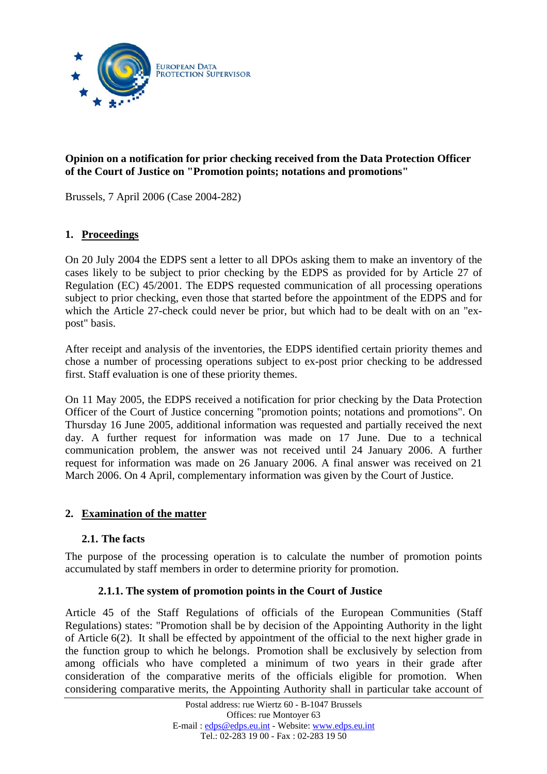

# **Opinion on a notification for prior checking received from the Data Protection Officer of the Court of Justice on "Promotion points; notations and promotions"**

Brussels, 7 April 2006 (Case 2004-282)

# **1. Proceedings**

On 20 July 2004 the EDPS sent a letter to all DPOs asking them to make an inventory of the cases likely to be subject to prior checking by the EDPS as provided for by Article 27 of Regulation (EC) 45/2001. The EDPS requested communication of all processing operations subject to prior checking, even those that started before the appointment of the EDPS and for which the Article 27-check could never be prior, but which had to be dealt with on an "expost" basis.

After receipt and analysis of the inventories, the EDPS identified certain priority themes and chose a number of processing operations subject to ex-post prior checking to be addressed first. Staff evaluation is one of these priority themes.

On 11 May 2005, the EDPS received a notification for prior checking by the Data Protection Officer of the Court of Justice concerning "promotion points; notations and promotions". On Thursday 16 June 2005, additional information was requested and partially received the next day. A further request for information was made on 17 June. Due to a technical communication problem, the answer was not received until 24 January 2006. A further request for information was made on 26 January 2006. A final answer was received on 21 March 2006. On 4 April, complementary information was given by the Court of Justice.

### **2. Examination of the matter**

### **2.1. The facts**

The purpose of the processing operation is to calculate the number of promotion points accumulated by staff members in order to determine priority for promotion.

#### **2.1.1. The system of promotion points in the Court of Justice**

Article 45 of the Staff Regulations of officials of the European Communities (Staff Regulations) states: "Promotion shall be by decision of the Appointing Authority in the light of Article 6(2). It shall be effected by appointment of the official to the next higher grade in the function group to which he belongs. Promotion shall be exclusively by selection from among officials who have completed a minimum of two years in their grade after consideration of the comparative merits of the officials eligible for promotion. When considering comparative merits, the Appointing Authority shall in particular take account of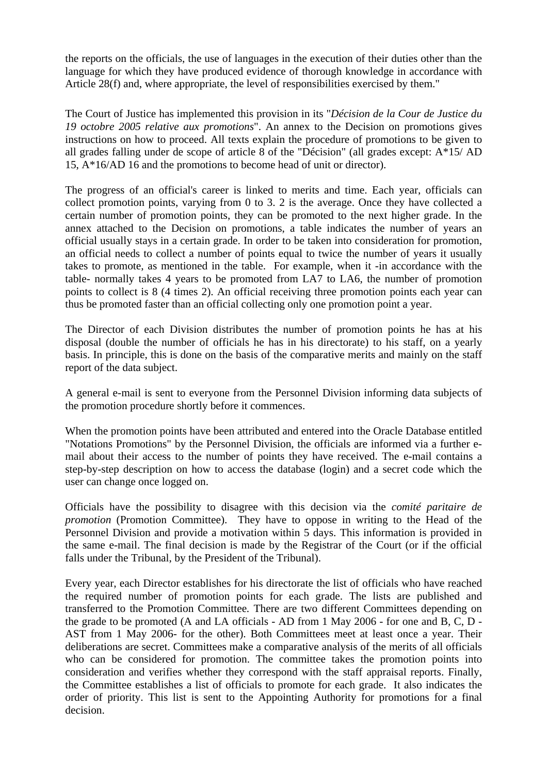the reports on the officials, the use of languages in the execution of their duties other than the language for which they have produced evidence of thorough knowledge in accordance with Article 28(f) and, where appropriate, the level of responsibilities exercised by them."

The Court of Justice has implemented this provision in its "*Décision de la Cour de Justice du 19 octobre 2005 relative aux promotions*". An annex to the Decision on promotions gives instructions on how to proceed. All texts explain the procedure of promotions to be given to all grades falling under de scope of article 8 of the "Décision" (all grades except: A\*15/ AD 15, A\*16/AD 16 and the promotions to become head of unit or director).

The progress of an official's career is linked to merits and time. Each year, officials can collect promotion points, varying from 0 to 3. 2 is the average. Once they have collected a certain number of promotion points, they can be promoted to the next higher grade. In the annex attached to the Decision on promotions, a table indicates the number of years an official usually stays in a certain grade. In order to be taken into consideration for promotion, an official needs to collect a number of points equal to twice the number of years it usually takes to promote, as mentioned in the table. For example, when it -in accordance with the table- normally takes 4 years to be promoted from LA7 to LA6, the number of promotion points to collect is 8 (4 times 2). An official receiving three promotion points each year can thus be promoted faster than an official collecting only one promotion point a year.

The Director of each Division distributes the number of promotion points he has at his disposal (double the number of officials he has in his directorate) to his staff, on a yearly basis. In principle, this is done on the basis of the comparative merits and mainly on the staff report of the data subject.

A general e-mail is sent to everyone from the Personnel Division informing data subjects of the promotion procedure shortly before it commences.

When the promotion points have been attributed and entered into the Oracle Database entitled "Notations Promotions" by the Personnel Division, the officials are informed via a further email about their access to the number of points they have received. The e-mail contains a step-by-step description on how to access the database (login) and a secret code which the user can change once logged on.

Officials have the possibility to disagree with this decision via the *comité paritaire de promotion* (Promotion Committee). They have to oppose in writing to the Head of the Personnel Division and provide a motivation within 5 days. This information is provided in the same e-mail. The final decision is made by the Registrar of the Court (or if the official falls under the Tribunal, by the President of the Tribunal).

Every year, each Director establishes for his directorate the list of officials who have reached the required number of promotion points for each grade. The lists are published and transferred to the Promotion Committee*.* There are two different Committees depending on the grade to be promoted (A and LA officials - AD from 1 May 2006 - for one and B, C, D - AST from 1 May 2006- for the other). Both Committees meet at least once a year. Their deliberations are secret. Committees make a comparative analysis of the merits of all officials who can be considered for promotion. The committee takes the promotion points into consideration and verifies whether they correspond with the staff appraisal reports. Finally, the Committee establishes a list of officials to promote for each grade. It also indicates the order of priority. This list is sent to the Appointing Authority for promotions for a final decision.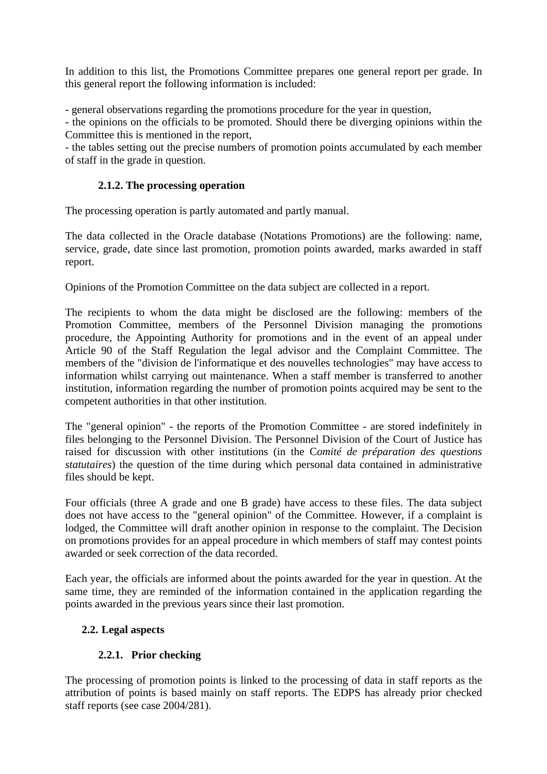In addition to this list, the Promotions Committee prepares one general report per grade. In this general report the following information is included:

- general observations regarding the promotions procedure for the year in question,

- the opinions on the officials to be promoted. Should there be diverging opinions within the Committee this is mentioned in the report,

- the tables setting out the precise numbers of promotion points accumulated by each member of staff in the grade in question.

## **2.1.2. The processing operation**

The processing operation is partly automated and partly manual.

The data collected in the Oracle database (Notations Promotions) are the following: name, service, grade, date since last promotion, promotion points awarded, marks awarded in staff report.

Opinions of the Promotion Committee on the data subject are collected in a report.

The recipients to whom the data might be disclosed are the following: members of the Promotion Committee, members of the Personnel Division managing the promotions procedure, the Appointing Authority for promotions and in the event of an appeal under Article 90 of the Staff Regulation the legal advisor and the Complaint Committee. The members of the "division de l'informatique et des nouvelles technologies" may have access to information whilst carrying out maintenance. When a staff member is transferred to another institution, information regarding the number of promotion points acquired may be sent to the competent authorities in that other institution.

The "general opinion" - the reports of the Promotion Committee - are stored indefinitely in files belonging to the Personnel Division. The Personnel Division of the Court of Justice has raised for discussion with other institutions (in the C*omité de préparation des questions statutaires*) the question of the time during which personal data contained in administrative files should be kept.

Four officials (three A grade and one B grade) have access to these files. The data subject does not have access to the "general opinion" of the Committee. However, if a complaint is lodged, the Committee will draft another opinion in response to the complaint. The Decision on promotions provides for an appeal procedure in which members of staff may contest points awarded or seek correction of the data recorded.

Each year, the officials are informed about the points awarded for the year in question. At the same time, they are reminded of the information contained in the application regarding the points awarded in the previous years since their last promotion.

# **2.2. Legal aspects**

# **2.2.1. Prior checking**

The processing of promotion points is linked to the processing of data in staff reports as the attribution of points is based mainly on staff reports. The EDPS has already prior checked staff reports (see case 2004/281).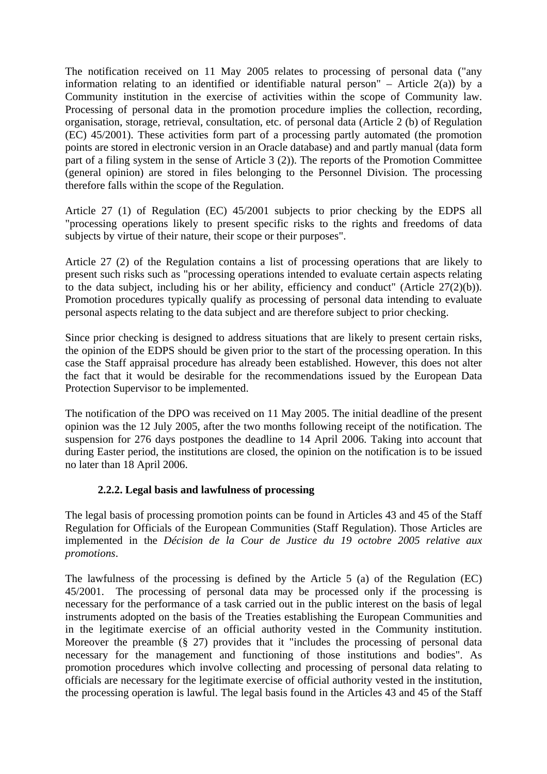The notification received on 11 May 2005 relates to processing of personal data ("any information relating to an identified or identifiable natural person" – Article  $2(a)$ ) by a Community institution in the exercise of activities within the scope of Community law. Processing of personal data in the promotion procedure implies the collection, recording, organisation, storage, retrieval, consultation, etc. of personal data (Article 2 (b) of Regulation (EC) 45/2001). These activities form part of a processing partly automated (the promotion points are stored in electronic version in an Oracle database) and and partly manual (data form part of a filing system in the sense of Article 3 (2)). The reports of the Promotion Committee (general opinion) are stored in files belonging to the Personnel Division. The processing therefore falls within the scope of the Regulation.

Article 27 (1) of Regulation (EC) 45/2001 subjects to prior checking by the EDPS all "processing operations likely to present specific risks to the rights and freedoms of data subjects by virtue of their nature, their scope or their purposes".

Article 27 (2) of the Regulation contains a list of processing operations that are likely to present such risks such as "processing operations intended to evaluate certain aspects relating to the data subject, including his or her ability, efficiency and conduct" (Article 27(2)(b)). Promotion procedures typically qualify as processing of personal data intending to evaluate personal aspects relating to the data subject and are therefore subject to prior checking.

Since prior checking is designed to address situations that are likely to present certain risks, the opinion of the EDPS should be given prior to the start of the processing operation. In this case the Staff appraisal procedure has already been established. However, this does not alter the fact that it would be desirable for the recommendations issued by the European Data Protection Supervisor to be implemented.

The notification of the DPO was received on 11 May 2005. The initial deadline of the present opinion was the 12 July 2005, after the two months following receipt of the notification. The suspension for 276 days postpones the deadline to 14 April 2006. Taking into account that during Easter period, the institutions are closed, the opinion on the notification is to be issued no later than 18 April 2006.

### **2.2.2. Legal basis and lawfulness of processing**

The legal basis of processing promotion points can be found in Articles 43 and 45 of the Staff Regulation for Officials of the European Communities (Staff Regulation). Those Articles are implemented in the *Décision de la Cour de Justice du 19 octobre 2005 relative aux promotions*.

The lawfulness of the processing is defined by the Article 5 (a) of the Regulation (EC) 45/2001. The processing of personal data may be processed only if the processing is necessary for the performance of a task carried out in the public interest on the basis of legal instruments adopted on the basis of the Treaties establishing the European Communities and in the legitimate exercise of an official authority vested in the Community institution. Moreover the preamble (§ 27) provides that it "includes the processing of personal data necessary for the management and functioning of those institutions and bodies". As promotion procedures which involve collecting and processing of personal data relating to officials are necessary for the legitimate exercise of official authority vested in the institution, the processing operation is lawful. The legal basis found in the Articles 43 and 45 of the Staff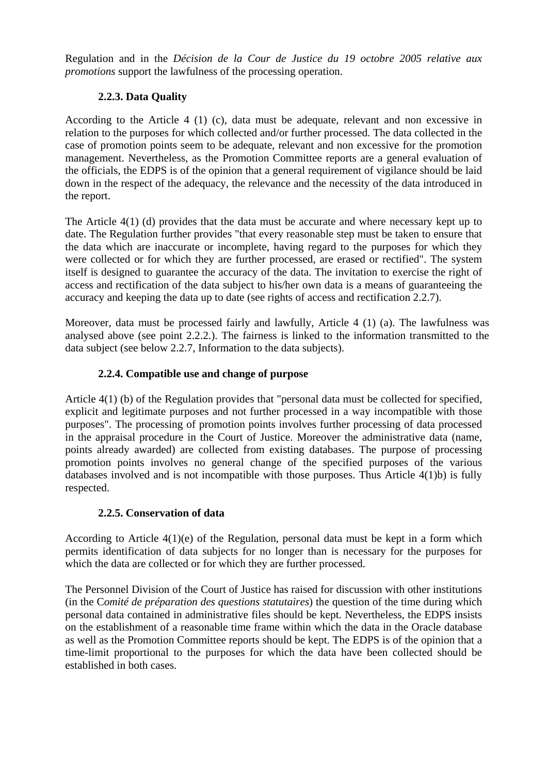Regulation and in the *Décision de la Cour de Justice du 19 octobre 2005 relative aux promotions* support the lawfulness of the processing operation.

# **2.2.3. Data Quality**

According to the Article 4 (1) (c), data must be adequate, relevant and non excessive in relation to the purposes for which collected and/or further processed. The data collected in the case of promotion points seem to be adequate, relevant and non excessive for the promotion management. Nevertheless, as the Promotion Committee reports are a general evaluation of the officials, the EDPS is of the opinion that a general requirement of vigilance should be laid down in the respect of the adequacy, the relevance and the necessity of the data introduced in the report.

The Article 4(1) (d) provides that the data must be accurate and where necessary kept up to date. The Regulation further provides "that every reasonable step must be taken to ensure that the data which are inaccurate or incomplete, having regard to the purposes for which they were collected or for which they are further processed, are erased or rectified". The system itself is designed to guarantee the accuracy of the data. The invitation to exercise the right of access and rectification of the data subject to his/her own data is a means of guaranteeing the accuracy and keeping the data up to date (see rights of access and rectification 2.2.7).

Moreover, data must be processed fairly and lawfully, Article 4 (1) (a). The lawfulness was analysed above (see point 2.2.2.). The fairness is linked to the information transmitted to the data subject (see below 2.2.7, Information to the data subjects).

# **2.2.4. Compatible use and change of purpose**

Article 4(1) (b) of the Regulation provides that "personal data must be collected for specified, explicit and legitimate purposes and not further processed in a way incompatible with those purposes". The processing of promotion points involves further processing of data processed in the appraisal procedure in the Court of Justice. Moreover the administrative data (name, points already awarded) are collected from existing databases. The purpose of processing promotion points involves no general change of the specified purposes of the various databases involved and is not incompatible with those purposes. Thus Article  $4(1)b$  is fully respected.

# **2.2.5. Conservation of data**

According to Article 4(1)(e) of the Regulation, personal data must be kept in a form which permits identification of data subjects for no longer than is necessary for the purposes for which the data are collected or for which they are further processed.

The Personnel Division of the Court of Justice has raised for discussion with other institutions (in the C*omité de préparation des questions statutaires*) the question of the time during which personal data contained in administrative files should be kept. Nevertheless, the EDPS insists on the establishment of a reasonable time frame within which the data in the Oracle database as well as the Promotion Committee reports should be kept. The EDPS is of the opinion that a time-limit proportional to the purposes for which the data have been collected should be established in both cases.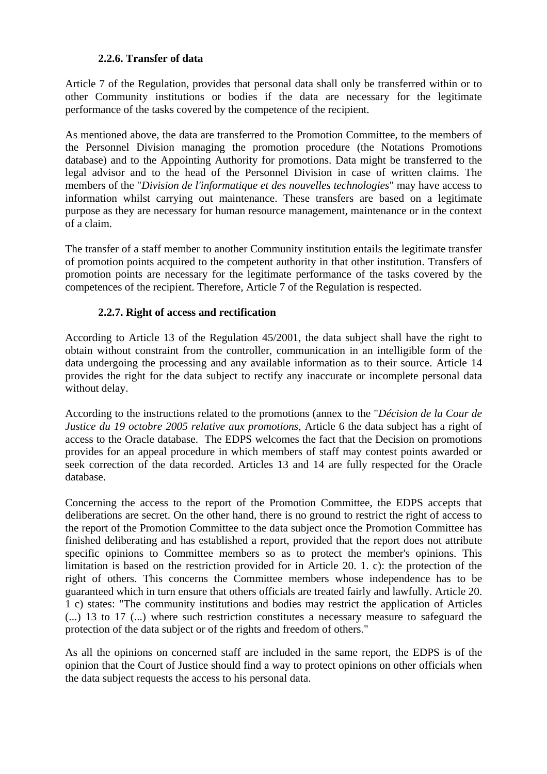#### **2.2.6. Transfer of data**

Article 7 of the Regulation, provides that personal data shall only be transferred within or to other Community institutions or bodies if the data are necessary for the legitimate performance of the tasks covered by the competence of the recipient.

As mentioned above, the data are transferred to the Promotion Committee, to the members of the Personnel Division managing the promotion procedure (the Notations Promotions database) and to the Appointing Authority for promotions. Data might be transferred to the legal advisor and to the head of the Personnel Division in case of written claims. The members of the "*Division de l'informatique et des nouvelles technologies*" may have access to information whilst carrying out maintenance. These transfers are based on a legitimate purpose as they are necessary for human resource management, maintenance or in the context of a claim.

The transfer of a staff member to another Community institution entails the legitimate transfer of promotion points acquired to the competent authority in that other institution. Transfers of promotion points are necessary for the legitimate performance of the tasks covered by the competences of the recipient. Therefore, Article 7 of the Regulation is respected.

### **2.2.7. Right of access and rectification**

According to Article 13 of the Regulation 45/2001, the data subject shall have the right to obtain without constraint from the controller, communication in an intelligible form of the data undergoing the processing and any available information as to their source. Article 14 provides the right for the data subject to rectify any inaccurate or incomplete personal data without delay.

According to the instructions related to the promotions (annex to the "*Décision de la Cour de Justice du 19 octobre 2005 relative aux promotions*, Article 6 the data subject has a right of access to the Oracle database. The EDPS welcomes the fact that the Decision on promotions provides for an appeal procedure in which members of staff may contest points awarded or seek correction of the data recorded. Articles 13 and 14 are fully respected for the Oracle database.

Concerning the access to the report of the Promotion Committee, the EDPS accepts that deliberations are secret. On the other hand, there is no ground to restrict the right of access to the report of the Promotion Committee to the data subject once the Promotion Committee has finished deliberating and has established a report, provided that the report does not attribute specific opinions to Committee members so as to protect the member's opinions. This limitation is based on the restriction provided for in Article 20. 1. c): the protection of the right of others. This concerns the Committee members whose independence has to be guaranteed which in turn ensure that others officials are treated fairly and lawfully. Article 20. 1 c) states: "The community institutions and bodies may restrict the application of Articles (...) 13 to 17 (...) where such restriction constitutes a necessary measure to safeguard the protection of the data subject or of the rights and freedom of others."

As all the opinions on concerned staff are included in the same report, the EDPS is of the opinion that the Court of Justice should find a way to protect opinions on other officials when the data subject requests the access to his personal data.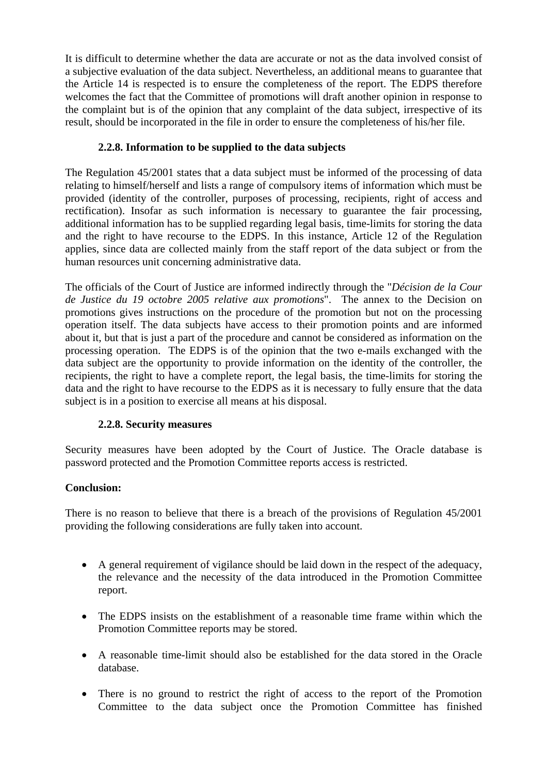It is difficult to determine whether the data are accurate or not as the data involved consist of a subjective evaluation of the data subject. Nevertheless, an additional means to guarantee that the Article 14 is respected is to ensure the completeness of the report. The EDPS therefore welcomes the fact that the Committee of promotions will draft another opinion in response to the complaint but is of the opinion that any complaint of the data subject, irrespective of its result, should be incorporated in the file in order to ensure the completeness of his/her file.

# **2.2.8. Information to be supplied to the data subjects**

The Regulation 45/2001 states that a data subject must be informed of the processing of data relating to himself/herself and lists a range of compulsory items of information which must be provided (identity of the controller, purposes of processing, recipients, right of access and rectification). Insofar as such information is necessary to guarantee the fair processing, additional information has to be supplied regarding legal basis, time-limits for storing the data and the right to have recourse to the EDPS. In this instance, Article 12 of the Regulation applies, since data are collected mainly from the staff report of the data subject or from the human resources unit concerning administrative data.

The officials of the Court of Justice are informed indirectly through the "*Décision de la Cour de Justice du 19 octobre 2005 relative aux promotions*". The annex to the Decision on promotions gives instructions on the procedure of the promotion but not on the processing operation itself. The data subjects have access to their promotion points and are informed about it, but that is just a part of the procedure and cannot be considered as information on the processing operation. The EDPS is of the opinion that the two e-mails exchanged with the data subject are the opportunity to provide information on the identity of the controller, the recipients, the right to have a complete report, the legal basis, the time-limits for storing the data and the right to have recourse to the EDPS as it is necessary to fully ensure that the data subject is in a position to exercise all means at his disposal.

# **2.2.8. Security measures**

Security measures have been adopted by the Court of Justice. The Oracle database is password protected and the Promotion Committee reports access is restricted.

### **Conclusion:**

There is no reason to believe that there is a breach of the provisions of Regulation 45/2001 providing the following considerations are fully taken into account.

- A general requirement of vigilance should be laid down in the respect of the adequacy, the relevance and the necessity of the data introduced in the Promotion Committee report.
- The EDPS insists on the establishment of a reasonable time frame within which the Promotion Committee reports may be stored.
- A reasonable time-limit should also be established for the data stored in the Oracle database.
- There is no ground to restrict the right of access to the report of the Promotion Committee to the data subject once the Promotion Committee has finished